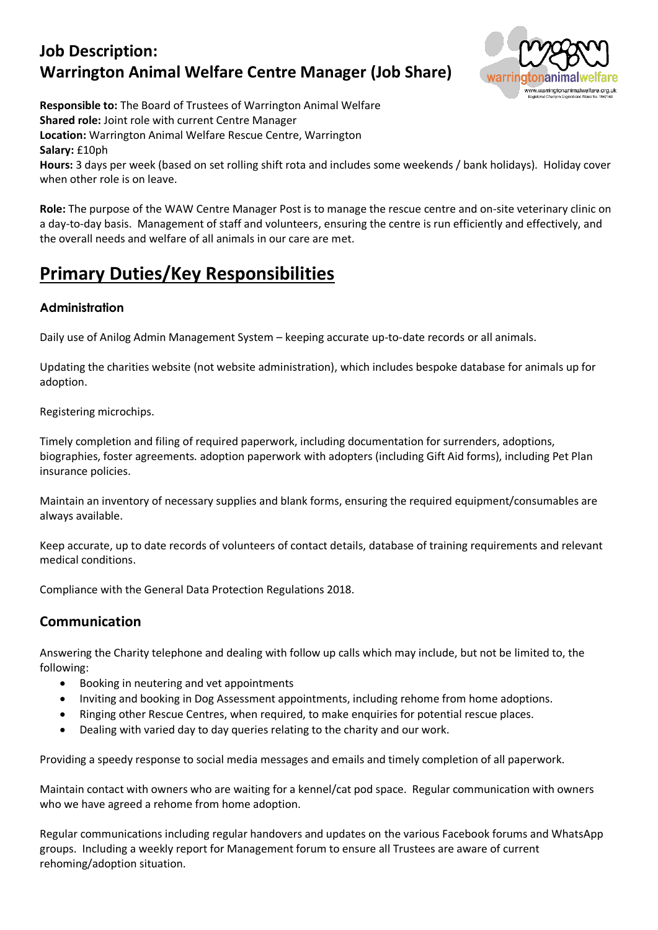# **Job Description: Warrington Animal Welfare Centre Manager (Job Share)**



**Responsible to:** The Board of Trustees of Warrington Animal Welfare **Shared role:** Joint role with current Centre Manager

**Location:** Warrington Animal Welfare Rescue Centre, Warrington

**Salary:** £10ph

**Hours:** 3 days per week (based on set rolling shift rota and includes some weekends / bank holidays). Holiday cover when other role is on leave.

**Role:** The purpose of the WAW Centre Manager Post is to manage the rescue centre and on-site veterinary clinic on a day-to-day basis. Management of staff and volunteers, ensuring the centre is run efficiently and effectively, and the overall needs and welfare of all animals in our care are met.

# **Primary Duties/Key Responsibilities**

# **Administration**

Daily use of Anilog Admin Management System – keeping accurate up-to-date records or all animals.

Updating the charities website (not website administration), which includes bespoke database for animals up for adoption.

Registering microchips.

Timely completion and filing of required paperwork, including documentation for surrenders, adoptions, biographies, foster agreements. adoption paperwork with adopters (including Gift Aid forms), including Pet Plan insurance policies.

Maintain an inventory of necessary supplies and blank forms, ensuring the required equipment/consumables are always available.

Keep accurate, up to date records of volunteers of contact details, database of training requirements and relevant medical conditions.

Compliance with the General Data Protection Regulations 2018.

# **Communication**

Answering the Charity telephone and dealing with follow up calls which may include, but not be limited to, the following:

- Booking in neutering and vet appointments
- Inviting and booking in Dog Assessment appointments, including rehome from home adoptions.
- Ringing other Rescue Centres, when required, to make enquiries for potential rescue places.
- Dealing with varied day to day queries relating to the charity and our work.

Providing a speedy response to social media messages and emails and timely completion of all paperwork.

Maintain contact with owners who are waiting for a kennel/cat pod space. Regular communication with owners who we have agreed a rehome from home adoption.

Regular communications including regular handovers and updates on the various Facebook forums and WhatsApp groups. Including a weekly report for Management forum to ensure all Trustees are aware of current rehoming/adoption situation.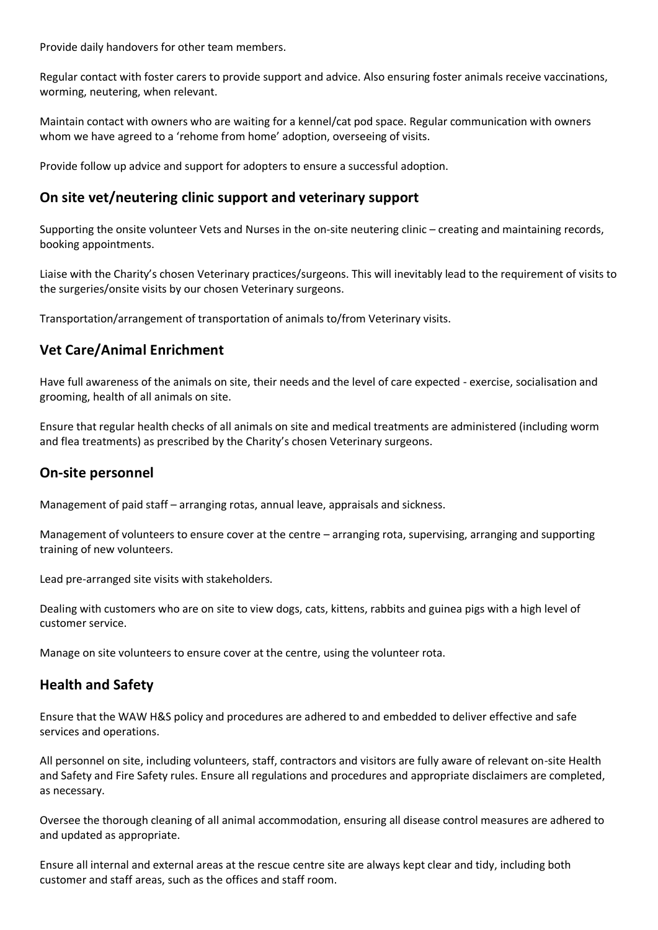Provide daily handovers for other team members.

Regular contact with foster carers to provide support and advice. Also ensuring foster animals receive vaccinations, worming, neutering, when relevant.

Maintain contact with owners who are waiting for a kennel/cat pod space. Regular communication with owners whom we have agreed to a 'rehome from home' adoption, overseeing of visits.

Provide follow up advice and support for adopters to ensure a successful adoption.

#### **On site vet/neutering clinic support and veterinary support**

Supporting the onsite volunteer Vets and Nurses in the on-site neutering clinic – creating and maintaining records, booking appointments.

Liaise with the Charity's chosen Veterinary practices/surgeons. This will inevitably lead to the requirement of visits to the surgeries/onsite visits by our chosen Veterinary surgeons.

Transportation/arrangement of transportation of animals to/from Veterinary visits.

# **Vet Care/Animal Enrichment**

Have full awareness of the animals on site, their needs and the level of care expected - exercise, socialisation and grooming, health of all animals on site.

Ensure that regular health checks of all animals on site and medical treatments are administered (including worm and flea treatments) as prescribed by the Charity's chosen Veterinary surgeons.

#### **On-site personnel**

Management of paid staff – arranging rotas, annual leave, appraisals and sickness.

Management of volunteers to ensure cover at the centre – arranging rota, supervising, arranging and supporting training of new volunteers.

Lead pre-arranged site visits with stakeholders.

Dealing with customers who are on site to view dogs, cats, kittens, rabbits and guinea pigs with a high level of customer service.

Manage on site volunteers to ensure cover at the centre, using the volunteer rota.

#### **Health and Safety**

Ensure that the WAW H&S policy and procedures are adhered to and embedded to deliver effective and safe services and operations.

All personnel on site, including volunteers, staff, contractors and visitors are fully aware of relevant on-site Health and Safety and Fire Safety rules. Ensure all regulations and procedures and appropriate disclaimers are completed, as necessary.

Oversee the thorough cleaning of all animal accommodation, ensuring all disease control measures are adhered to and updated as appropriate.

Ensure all internal and external areas at the rescue centre site are always kept clear and tidy, including both customer and staff areas, such as the offices and staff room.